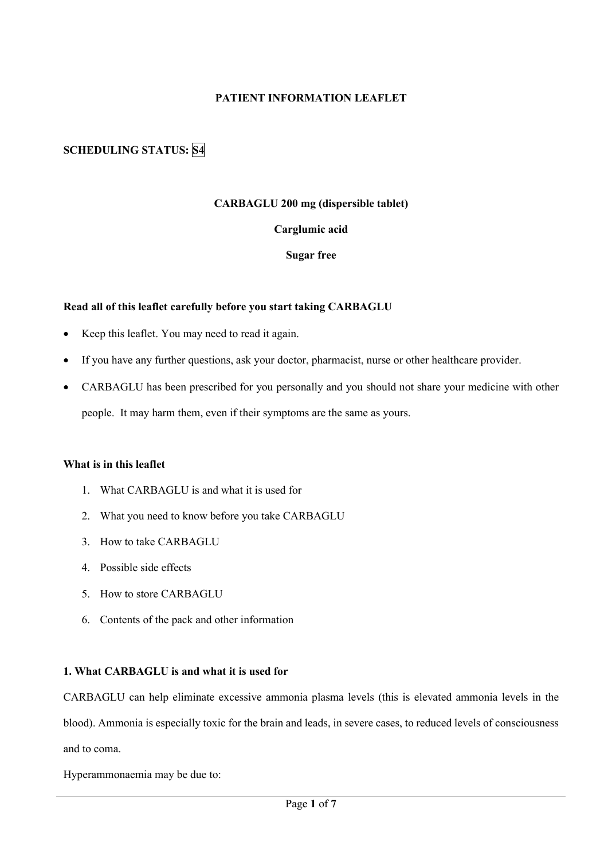# **PATIENT INFORMATION LEAFLET**

# **SCHEDULING STATUS: S4**

# **CARBAGLU 200 mg (dispersible tablet)**

#### **Carglumic acid**

#### **Sugar free**

#### **Read all of this leaflet carefully before you start taking CARBAGLU**

- Keep this leaflet. You may need to read it again.
- If you have any further questions, ask your doctor, pharmacist, nurse or other healthcare provider.
- CARBAGLU has been prescribed for you personally and you should not share your medicine with other people. It may harm them, even if their symptoms are the same as yours.

# **What is in this leaflet**

- 1. What CARBAGLU is and what it is used for
- 2. What you need to know before you take CARBAGLU
- 3. How to take CARBAGLU
- 4. Possible side effects
- 5. How to store CARBAGLU
- 6. Contents of the pack and other information

#### **1. What CARBAGLU is and what it is used for**

CARBAGLU can help eliminate excessive ammonia plasma levels (this is elevated ammonia levels in the blood). Ammonia is especially toxic for the brain and leads, in severe cases, to reduced levels of consciousness and to coma.

Hyperammonaemia may be due to: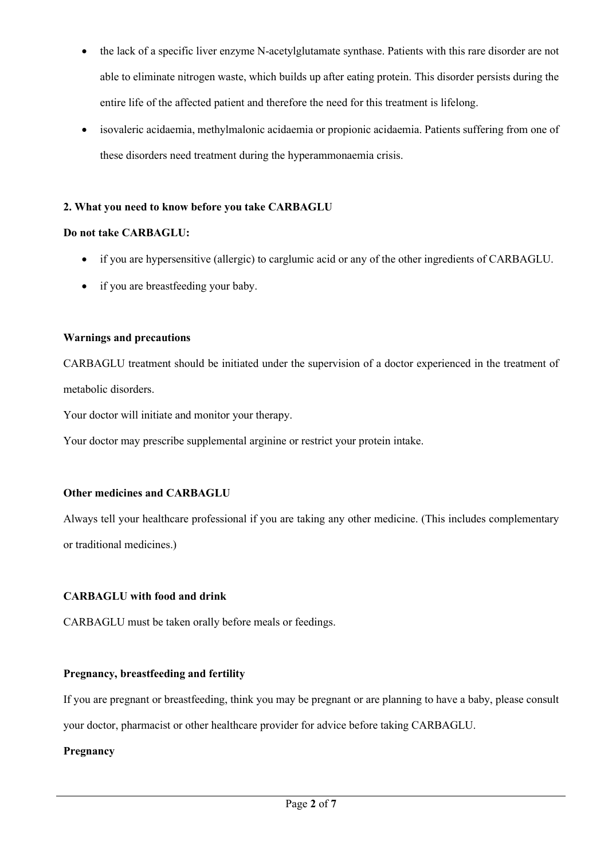- the lack of a specific liver enzyme N-acetylglutamate synthase. Patients with this rare disorder are not able to eliminate nitrogen waste, which builds up after eating protein. This disorder persists during the entire life of the affected patient and therefore the need for this treatment is lifelong.
- isovaleric acidaemia, methylmalonic acidaemia or propionic acidaemia. Patients suffering from one of these disorders need treatment during the hyperammonaemia crisis.

# **2. What you need to know before you take CARBAGLU**

## **Do not take CARBAGLU:**

- if you are hypersensitive (allergic) to carglumic acid or any of the other ingredients of CARBAGLU.
- if you are breastfeeding your baby.

# **Warnings and precautions**

CARBAGLU treatment should be initiated under the supervision of a doctor experienced in the treatment of metabolic disorders.

Your doctor will initiate and monitor your therapy.

Your doctor may prescribe supplemental arginine or restrict your protein intake.

## **Other medicines and CARBAGLU**

Always tell your healthcare professional if you are taking any other medicine. (This includes complementary or traditional medicines.)

## **CARBAGLU with food and drink**

CARBAGLU must be taken orally before meals or feedings.

## **Pregnancy, breastfeeding and fertility**

If you are pregnant or breastfeeding, think you may be pregnant or are planning to have a baby, please consult

your doctor, pharmacist or other healthcare provider for advice before taking CARBAGLU.

## **Pregnancy**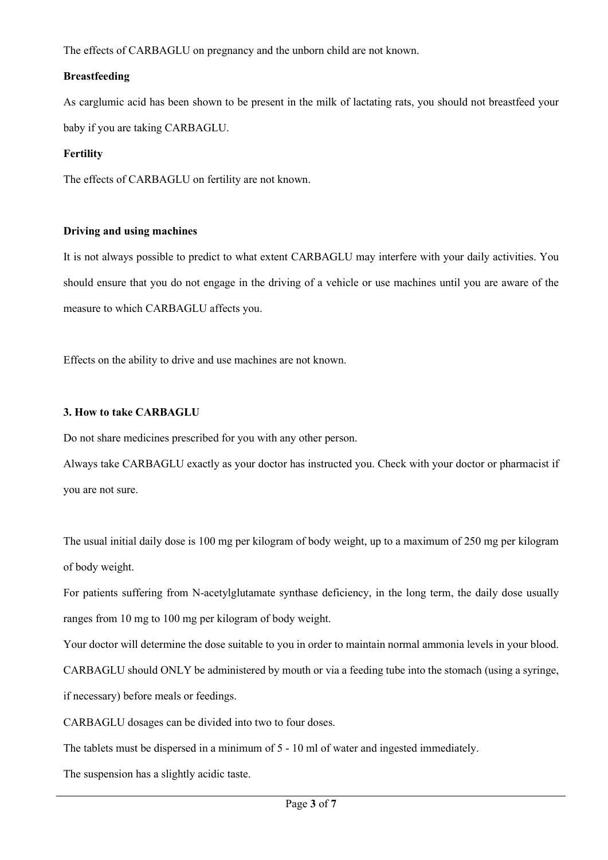The effects of CARBAGLU on pregnancy and the unborn child are not known.

# **Breastfeeding**

As carglumic acid has been shown to be present in the milk of lactating rats, you should not breastfeed your baby if you are taking CARBAGLU.

# **Fertility**

The effects of CARBAGLU on fertility are not known.

## **Driving and using machines**

It is not always possible to predict to what extent CARBAGLU may interfere with your daily activities. You should ensure that you do not engage in the driving of a vehicle or use machines until you are aware of the measure to which CARBAGLU affects you.

Effects on the ability to drive and use machines are not known.

# **3. How to take CARBAGLU**

Do not share medicines prescribed for you with any other person.

Always take CARBAGLU exactly as your doctor has instructed you. Check with your doctor or pharmacist if you are not sure.

The usual initial daily dose is 100 mg per kilogram of body weight, up to a maximum of 250 mg per kilogram of body weight.

For patients suffering from N-acetylglutamate synthase deficiency, in the long term, the daily dose usually ranges from 10 mg to 100 mg per kilogram of body weight.

Your doctor will determine the dose suitable to you in order to maintain normal ammonia levels in your blood. CARBAGLU should ONLY be administered by mouth or via a feeding tube into the stomach (using a syringe, if necessary) before meals or feedings.

CARBAGLU dosages can be divided into two to four doses.

The tablets must be dispersed in a minimum of 5 - 10 ml of water and ingested immediately.

The suspension has a slightly acidic taste.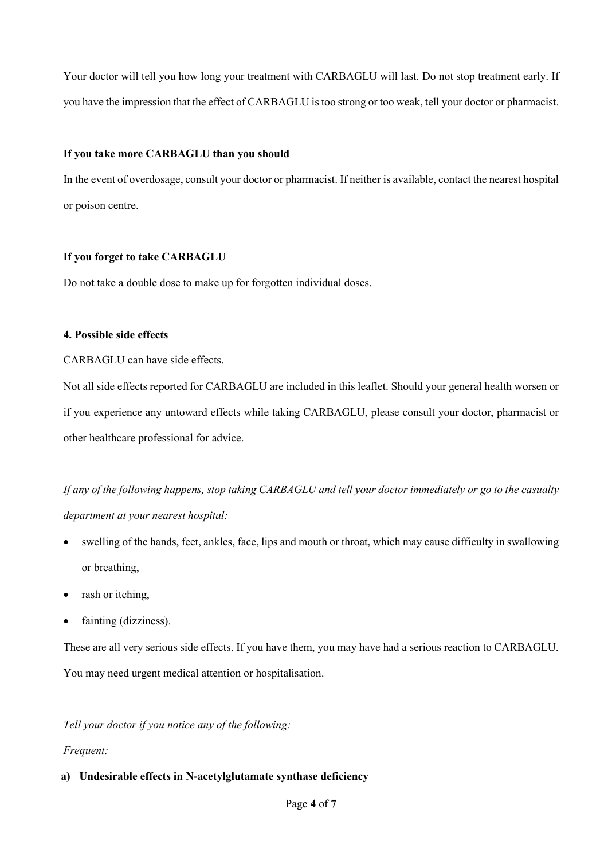Your doctor will tell you how long your treatment with CARBAGLU will last. Do not stop treatment early. If you have the impression that the effect of CARBAGLU is too strong or too weak, tell your doctor or pharmacist.

# **If you take more CARBAGLU than you should**

In the event of overdosage, consult your doctor or pharmacist. If neither is available, contact the nearest hospital or poison centre.

# **If you forget to take CARBAGLU**

Do not take a double dose to make up for forgotten individual doses.

# **4. Possible side effects**

CARBAGLU can have side effects.

Not all side effects reported for CARBAGLU are included in this leaflet. Should your general health worsen or if you experience any untoward effects while taking CARBAGLU, please consult your doctor, pharmacist or other healthcare professional for advice.

*If any of the following happens, stop taking CARBAGLU and tell your doctor immediately or go to the casualty department at your nearest hospital:*

- swelling of the hands, feet, ankles, face, lips and mouth or throat, which may cause difficulty in swallowing or breathing,
- rash or itching,
- fainting (dizziness).

These are all very serious side effects. If you have them, you may have had a serious reaction to CARBAGLU. You may need urgent medical attention or hospitalisation.

*Tell your doctor if you notice any of the following:*

# *Frequent:*

# **a) Undesirable effects in N-acetylglutamate synthase deficiency**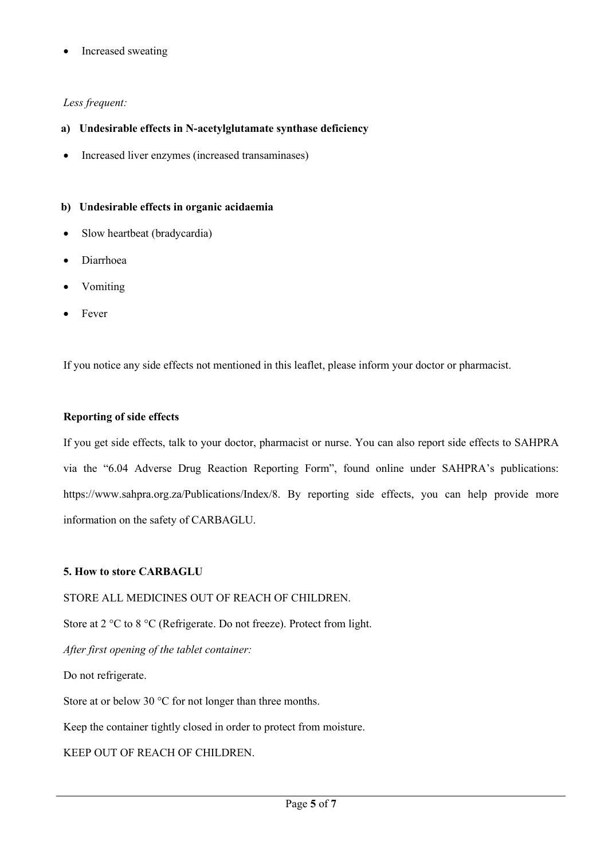• Increased sweating

# *Less frequent:*

# **a) Undesirable effects in N-acetylglutamate synthase deficiency**

• Increased liver enzymes (increased transaminases)

# **b) Undesirable effects in organic acidaemia**

- Slow heartbeat (bradycardia)
- Diarrhoea
- Vomiting
- **Fever**

If you notice any side effects not mentioned in this leaflet, please inform your doctor or pharmacist.

#### **Reporting of side effects**

If you get side effects, talk to your doctor, pharmacist or nurse. You can also report side effects to SAHPRA via the "6.04 Adverse Drug Reaction Reporting Form", found online under SAHPRA's publications: https://www.sahpra.org.za/Publications/Index/8. By reporting side effects, you can help provide more information on the safety of CARBAGLU.

## **5. How to store CARBAGLU**

STORE ALL MEDICINES OUT OF REACH OF CHILDREN.

Store at 2 °C to 8 °C (Refrigerate. Do not freeze). Protect from light.

*After first opening of the tablet container:*

Do not refrigerate.

Store at or below 30 °C for not longer than three months.

Keep the container tightly closed in order to protect from moisture.

KEEP OUT OF REACH OF CHILDREN.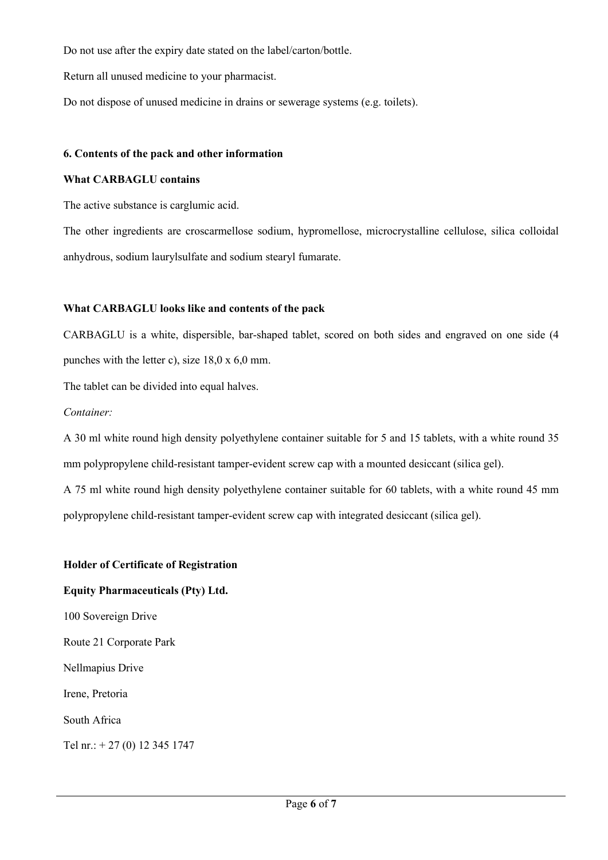Do not use after the expiry date stated on the label/carton/bottle.

Return all unused medicine to your pharmacist.

Do not dispose of unused medicine in drains or sewerage systems (e.g. toilets).

#### **6. Contents of the pack and other information**

#### **What CARBAGLU contains**

The active substance is carglumic acid.

The other ingredients are croscarmellose sodium, hypromellose, microcrystalline cellulose, silica colloidal anhydrous, sodium laurylsulfate and sodium stearyl fumarate.

## **What CARBAGLU looks like and contents of the pack**

CARBAGLU is a white, dispersible, bar-shaped tablet, scored on both sides and engraved on one side (4 punches with the letter c), size 18,0 x 6,0 mm.

The tablet can be divided into equal halves.

#### *Container:*

A 30 ml white round high density polyethylene container suitable for 5 and 15 tablets, with a white round 35 mm polypropylene child-resistant tamper-evident screw cap with a mounted desiccant (silica gel).

A 75 ml white round high density polyethylene container suitable for 60 tablets, with a white round 45 mm polypropylene child-resistant tamper-evident screw cap with integrated desiccant (silica gel).

#### **Holder of Certificate of Registration**

## **Equity Pharmaceuticals (Pty) Ltd.**

100 Sovereign Drive

Route 21 Corporate Park

Nellmapius Drive

Irene, Pretoria

South Africa

Tel nr.: + 27 (0) 12 345 1747